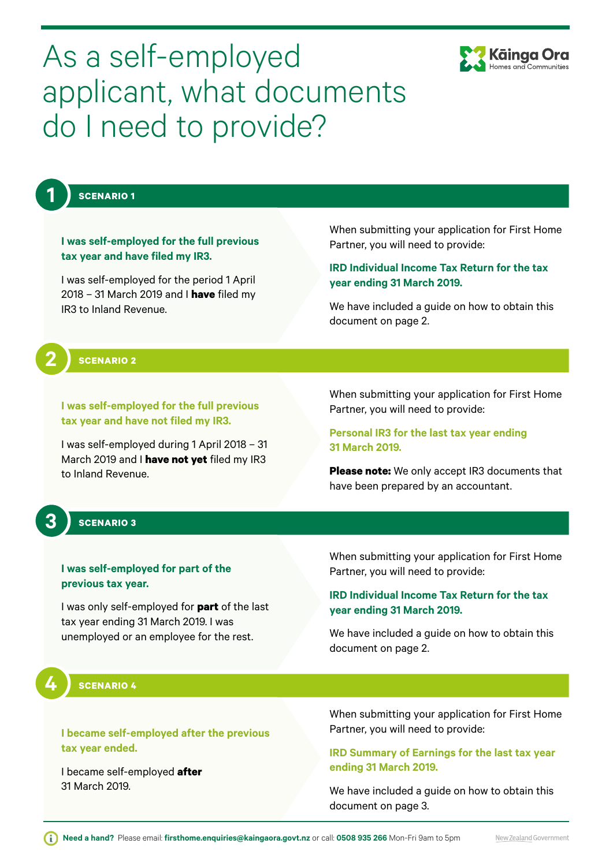

# As a self-employed applicant, what documents do I need to provide?

**1**

**2**

**3**

**4**

### **SCENARIO 1**

**I was self-employed for the full previous tax year and have filed my IR3.** 

I was self-employed for the period 1 April 2018 – 31 March 2019 and I **have** filed my IR3 to Inland Revenue.

[When submitting your application for First Home](#page-1-0)  Partner, you will need to provide:

#### **IRD Individual Income Tax Return for the tax year ending 31 March 2019.**

We have included a guide on how to obtain this document on page 2.

**SCENARIO 2**

**I was self-employed for the full previous tax year and have not filed my IR3.** 

I was self-employed during 1 April 2018 – 31 March 2019 and I **have not yet** filed my IR3 to Inland Revenue.

When submitting your application for First Home Partner, you will need to provide:

**Personal IR3 for the last tax year ending 31 March 2019.** 

**Please note:** We only accept IR3 documents that have been prepared by an accountant.

### **SCENARIO 3**

#### **I was self-employed for part of the previous tax year.**

I was only self-employed for **part** of the last tax year ending 31 March 2019. I was unemployed or an employee for the rest.

[When submitting your application for First Home](#page-1-0)  Partner, you will need to provide:

#### **IRD Individual Income Tax Return for the tax year ending 31 March 2019.**

We have included a guide on how to obtain this document on page 2.

#### **SCENARIO 4**

**I became self-employed after the previous tax year ended.** 

I became self-employed **after** 31 March 2019.

[When submitting your application for First Home](#page-2-0)  Partner, you will need to provide:

#### **IRD Summary of Earnings for the last tax year ending 31 March 2019.**

We have included a guide on how to obtain this document on page 3.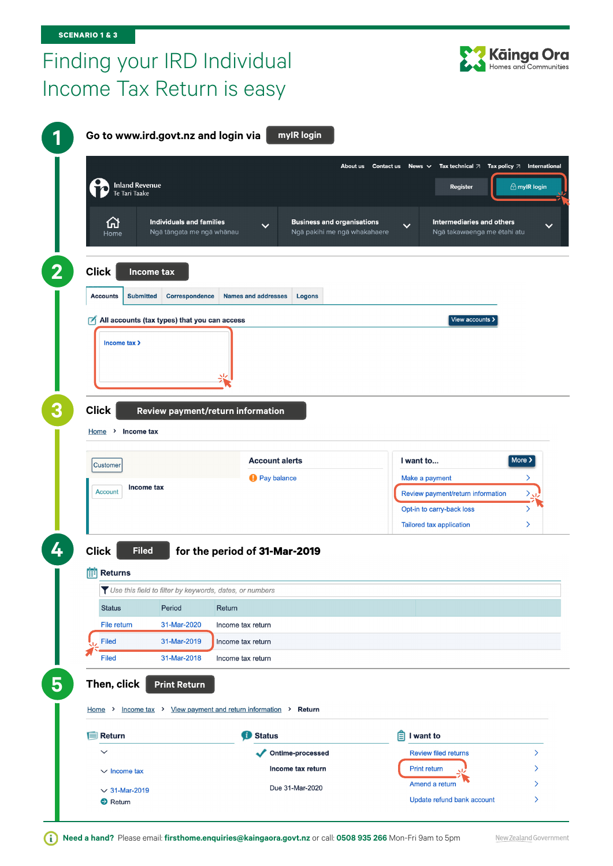# <span id="page-1-0"></span>Finding your IRD Individual Income Tax Return is easy



|                                         |                                                         |                                                         | About us Contact us News $\vee$   |                                   | Tax technical $\Box$ Tax policy $\Box$ International |
|-----------------------------------------|---------------------------------------------------------|---------------------------------------------------------|-----------------------------------|-----------------------------------|------------------------------------------------------|
|                                         |                                                         |                                                         |                                   |                                   |                                                      |
| <b>Inland Revenue</b><br>Te Tari Taake  |                                                         |                                                         |                                   | Register                          | $\bigoplus$ mylR login                               |
|                                         |                                                         |                                                         |                                   |                                   |                                                      |
| 凸                                       | <b>Individuals and families</b>                         | $\checkmark$                                            | <b>Business and organisations</b> | $\checkmark$                      | <b>Intermediaries and others</b>                     |
| Home                                    | Ngā tāngata me ngā whānau                               |                                                         | Ngā pakihi me ngā whakahaere      |                                   | Ngā takawaenga me ētahi atu                          |
| <b>Click</b>                            | Income tax                                              |                                                         |                                   |                                   |                                                      |
|                                         |                                                         |                                                         |                                   |                                   |                                                      |
| <b>Accounts</b><br><b>Submitted</b>     | <b>Correspondence</b>                                   | <b>Names and addresses</b><br>Logons                    |                                   |                                   |                                                      |
|                                         | $\sqrt{ }$ All accounts (tax types) that you can access |                                                         |                                   |                                   | View accounts >                                      |
| Income tax >                            |                                                         |                                                         |                                   |                                   |                                                      |
|                                         |                                                         |                                                         |                                   |                                   |                                                      |
|                                         |                                                         |                                                         |                                   |                                   |                                                      |
|                                         |                                                         |                                                         |                                   |                                   |                                                      |
|                                         |                                                         |                                                         |                                   |                                   |                                                      |
|                                         |                                                         |                                                         |                                   |                                   |                                                      |
|                                         |                                                         | Review payment/return information                       |                                   |                                   |                                                      |
|                                         |                                                         |                                                         |                                   |                                   |                                                      |
|                                         |                                                         |                                                         |                                   |                                   |                                                      |
| <b>Customer</b>                         |                                                         | <b>Account alerts</b>                                   |                                   | I want to                         |                                                      |
|                                         |                                                         | <b>A</b> Pay balance                                    |                                   | Make a payment                    |                                                      |
| Income tax<br><b>Account</b>            |                                                         |                                                         |                                   | Review payment/return information |                                                      |
| <b>Click</b><br>$Home$ > Income tax     |                                                         |                                                         |                                   | Opt-in to carry-back loss         |                                                      |
|                                         |                                                         |                                                         |                                   | Tailored tax application          |                                                      |
|                                         |                                                         |                                                         |                                   |                                   | More >                                               |
| <b>Filed</b>                            |                                                         | for the period of 31-Mar-2019                           |                                   |                                   |                                                      |
|                                         |                                                         |                                                         |                                   |                                   |                                                      |
|                                         |                                                         | Vse this field to filter by keywords, dates, or numbers |                                   |                                   |                                                      |
| <b>Status</b>                           | Period                                                  | Return                                                  |                                   |                                   |                                                      |
| File return                             | 31-Mar-2020                                             | Income tax return                                       |                                   |                                   |                                                      |
| <b>Click</b><br><b>Returns</b><br>Filed | 31-Mar-2019                                             | Income tax return                                       |                                   |                                   |                                                      |